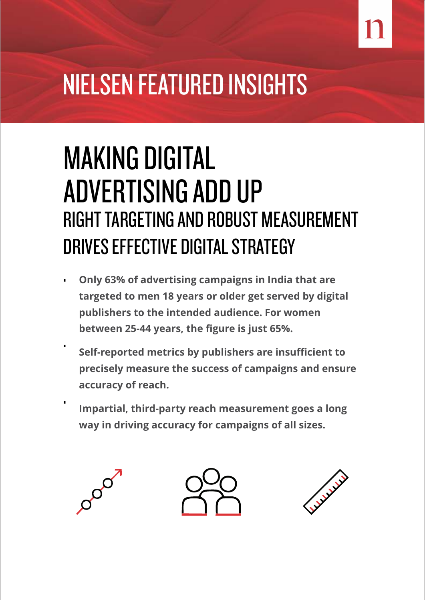# NIELSEN FEATURED INSIGHTS

## MAKING DIGITAL ADVERTISING ADD UP RIGHT TARGETING AND ROBUST MEASUREMENT DRIVES EFFECTIVE DIGITAL STRATEGY

- . . **Only 63% of advertising campaigns in India that are targeted to men 18 years or older get served by digital publishers to the intended audience. For women between 25-44 years, the figure is just 65%.**
	- **Self-reported metrics by publishers are insufficient to precisely measure the success of campaigns and ensure accuracy of reach.**

**Impartial, third-party reach measurement goes a long way in driving accuracy for campaigns of all sizes.**

.

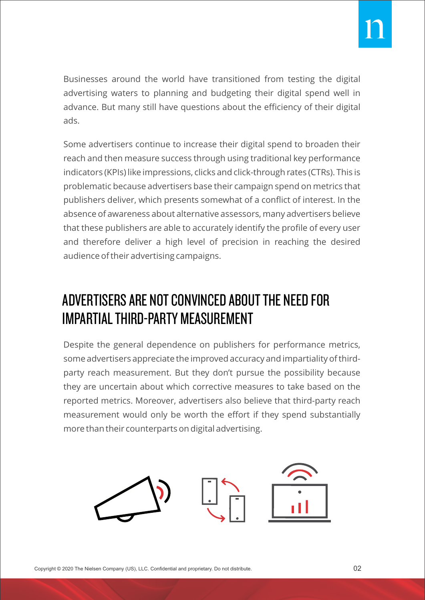Businesses around the world have transitioned from testing the digital advertising waters to planning and budgeting their digital spend well in advance. But many still have questions about the efficiency of their digital ads.

Some advertisers continue to increase their digital spend to broaden their reach and then measure success through using traditional key performance indicators (KPIs) like impressions, clicks and click-through rates (CTRs). This is problematic because advertisers base their campaign spend on metrics that publishers deliver, which presents somewhat of a conflict of interest. In the absence of awareness about alternative assessors, many advertisers believe that these publishers are able to accurately identify the profile of every user and therefore deliver a high level of precision in reaching the desired audience of their advertising campaigns.

#### ADVERTISERS ARE NOT CONVINCED ABOUT THE NEED FOR IMPARTIAL THIRD-PARTY MEASUREMENT

Despite the general dependence on publishers for performance metrics, some advertisers appreciate the improved accuracy and impartiality of thirdparty reach measurement. But they don't pursue the possibility because they are uncertain about which corrective measures to take based on the reported metrics. Moreover, advertisers also believe that third-party reach measurement would only be worth the effort if they spend substantially more than their counterparts on digital advertising.

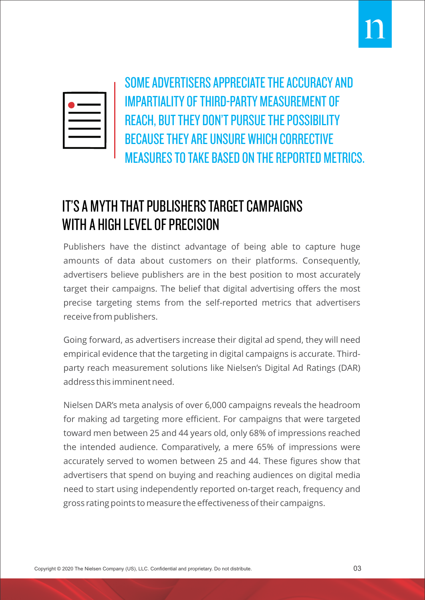

SOME ADVERTISERS APPRECIATE THE ACCURACY AND IMPARTIALITY OF THIRD-PARTY MEASUREMENT OF REACH, BUT THEY DON'T PURSUE THE POSSIBILITY BECAUSE THEY ARE UNSURE WHICH CORRECTIVE MEASURES TO TAKE BASED ON THE REPORTED METRICS.

#### IT'S A MYTH THAT PUBLISHERS TARGET CAMPAIGNS WITH A HIGH LEVEL OF PRECISION

Publishers have the distinct advantage of being able to capture huge amounts of data about customers on their platforms. Consequently, advertisers believe publishers are in the best position to most accurately target their campaigns. The belief that digital advertising offers the most precise targeting stems from the self-reported metrics that advertisers receive from publishers.

Going forward, as advertisers increase their digital ad spend, they will need empirical evidence that the targeting in digital campaigns is accurate. Thirdparty reach measurement solutions like Nielsen's Digital Ad Ratings (DAR) address this imminent need.

Nielsen DAR's meta analysis of over 6,000 campaigns reveals the headroom for making ad targeting more efficient. For campaigns that were targeted toward men between 25 and 44 years old, only 68% of impressions reached the intended audience. Comparatively, a mere 65% of impressions were accurately served to women between 25 and 44. These figures show that advertisers that spend on buying and reaching audiences on digital media need to start using independently reported on-target reach, frequency and gross rating points to measure the effectiveness of their campaigns.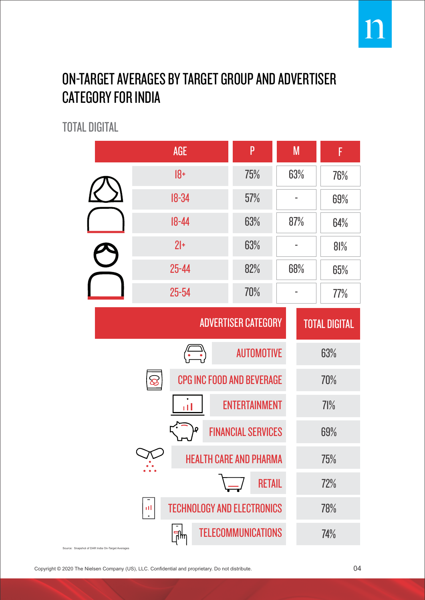#### ON-TARGET AVERAGES BY TARGET GROUP AND ADVERTISER CATEGORY FOR INDIA

TOTAL DIGITAL

|  | <b>AGE</b>                                                                                                                    | P                         | M   | F                    |  |
|--|-------------------------------------------------------------------------------------------------------------------------------|---------------------------|-----|----------------------|--|
|  | $18+$                                                                                                                         | 75%                       | 63% | 76%                  |  |
|  | $18 - 34$                                                                                                                     | 57%                       |     | 69%                  |  |
|  | $18 - 44$                                                                                                                     | 63%                       | 87% | 64%                  |  |
|  | $21+$                                                                                                                         | 63%                       |     | 81%                  |  |
|  | $25 - 44$                                                                                                                     | 82%                       | 68% | 65%                  |  |
|  | 25-54                                                                                                                         | 70%                       |     | 77%                  |  |
|  | <b>ADVERTISER CATEGORY</b>                                                                                                    |                           |     | <b>TOTAL DIGITAL</b> |  |
|  | $\left(\begin{array}{c}\n\hline\n\hline\n\hline\n\end{array}\right)$                                                          | <b>AUTOMOTIVE</b>         |     | 63%                  |  |
|  | CPG INC FOOD AND BEVERAGE<br>$\otimes$                                                                                        |                           |     | 70%                  |  |
|  | пĪ                                                                                                                            | <b>ENTERTAINMENT</b>      |     | 71%                  |  |
|  | ρ                                                                                                                             | <b>FINANCIAL SERVICES</b> |     | 69%                  |  |
|  | <b>HEALTH CARE AND PHARMA</b>                                                                                                 | 75%                       |     |                      |  |
|  |                                                                                                                               | <b>RETAIL</b>             |     | 72%                  |  |
|  | <b>TECHNOLOGY AND ELECTRONICS</b><br>пI<br><b>TELECOMMUNICATIONS</b><br>⊪<br>Source: Snapshot of DAR India On-Target Averages |                           |     | 78%                  |  |
|  |                                                                                                                               |                           |     | 74%                  |  |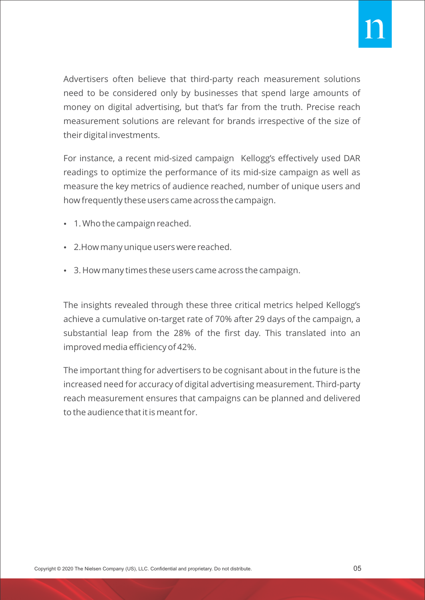Advertisers often believe that third-party reach measurement solutions need to be considered only by businesses that spend large amounts of money on digital advertising, but that's far from the truth. Precise reach measurement solutions are relevant for brands irrespective of the size of their digital investments.

For instance, a recent mid-sized campaign Kellogg's effectively used DAR readings to optimize the performance of its mid-size campaign as well as measure the key metrics of audience reached, number of unique users and how frequently these users came across the campaign.

- 1. Who the campaign reached.
- 2. How many unique users were reached.
- $\cdot$  3. How many times these users came across the campaign.

The insights revealed through these three critical metrics helped Kellogg's achieve a cumulative on-target rate of 70% after 29 days of the campaign, a substantial leap from the 28% of the first day. This translated into an improved media efficiency of 42%.

The important thing for advertisers to be cognisant about in the future is the increased need for accuracy of digital advertising measurement. Third-party reach measurement ensures that campaigns can be planned and delivered to the audience that it is meant for.